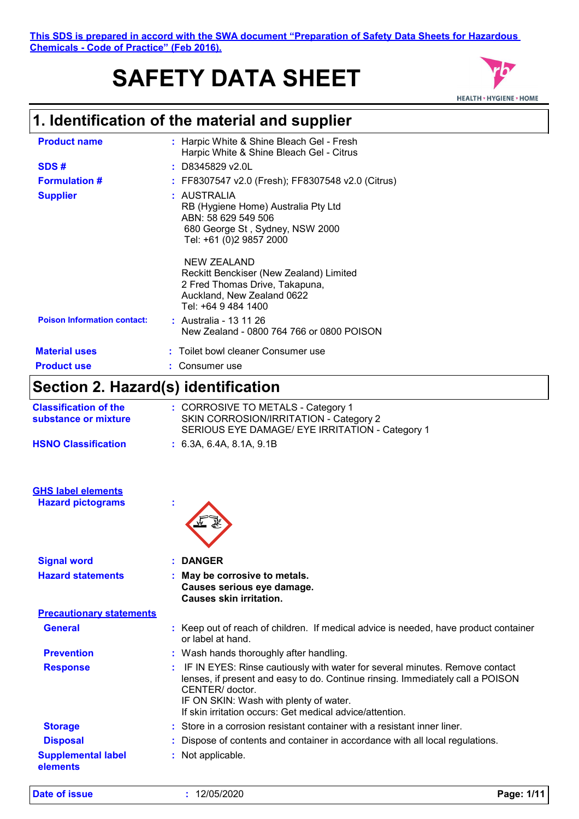# **SAFETY DATA SHEET**



## **1. Identification of the material and supplier**

| <b>Product name</b>                | : Harpic White & Shine Bleach Gel - Fresh<br>Harpic White & Shine Bleach Gel - Citrus                                                         |
|------------------------------------|-----------------------------------------------------------------------------------------------------------------------------------------------|
| SDS#                               | $:$ D8345829 v2.0L                                                                                                                            |
| <b>Formulation #</b>               | : FF8307547 v2.0 (Fresh); FF8307548 v2.0 (Citrus)                                                                                             |
| <b>Supplier</b>                    | : AUSTRALIA<br>RB (Hygiene Home) Australia Pty Ltd<br>ABN: 58 629 549 506<br>680 George St, Sydney, NSW 2000<br>Tel: +61 (0)2 9857 2000       |
|                                    | NEW ZEALAND<br>Reckitt Benckiser (New Zealand) Limited<br>2 Fred Thomas Drive, Takapuna,<br>Auckland, New Zealand 0622<br>Tel: +64 9 484 1400 |
| <b>Poison Information contact:</b> | : Australia - 13 11 26<br>New Zealand - 0800 764 766 or 0800 POISON                                                                           |
| <b>Material uses</b>               | : Toilet bowl cleaner Consumer use                                                                                                            |
| <b>Product use</b>                 | Consumer use                                                                                                                                  |

## **Section 2. Hazard(s) identification**

| <b>Classification of the</b><br>substance or mixture | : CORROSIVE TO METALS - Category 1<br>SKIN CORROSION/IRRITATION - Category 2<br>SERIOUS EYE DAMAGE/ EYE IRRITATION - Category 1                                                                                                                                                        |
|------------------------------------------------------|----------------------------------------------------------------------------------------------------------------------------------------------------------------------------------------------------------------------------------------------------------------------------------------|
| <b>HSNO Classification</b>                           | : 6.3A, 6.4A, 8.1A, 9.1B                                                                                                                                                                                                                                                               |
| <b>GHS label elements</b>                            |                                                                                                                                                                                                                                                                                        |
| <b>Hazard pictograms</b>                             |                                                                                                                                                                                                                                                                                        |
| <b>Signal word</b>                                   | <b>DANGER</b>                                                                                                                                                                                                                                                                          |
| <b>Hazard statements</b>                             | : May be corrosive to metals.<br>Causes serious eye damage.<br><b>Causes skin irritation.</b>                                                                                                                                                                                          |
| <b>Precautionary statements</b>                      |                                                                                                                                                                                                                                                                                        |
| <b>General</b>                                       | : Keep out of reach of children. If medical advice is needed, have product container<br>or label at hand.                                                                                                                                                                              |
| <b>Prevention</b>                                    | : Wash hands thoroughly after handling.                                                                                                                                                                                                                                                |
| <b>Response</b>                                      | IF IN EYES: Rinse cautiously with water for several minutes. Remove contact<br>lenses, if present and easy to do. Continue rinsing. Immediately call a POISON<br>CENTER/ doctor.<br>IF ON SKIN: Wash with plenty of water.<br>If skin irritation occurs: Get medical advice/attention. |
| <b>Storage</b>                                       | : Store in a corrosion resistant container with a resistant inner liner.                                                                                                                                                                                                               |
| <b>Disposal</b>                                      | Dispose of contents and container in accordance with all local regulations.                                                                                                                                                                                                            |
| <b>Supplemental label</b><br>elements                | : Not applicable.                                                                                                                                                                                                                                                                      |

**Date of issue :** 12/05/2020 **Page: 1/11**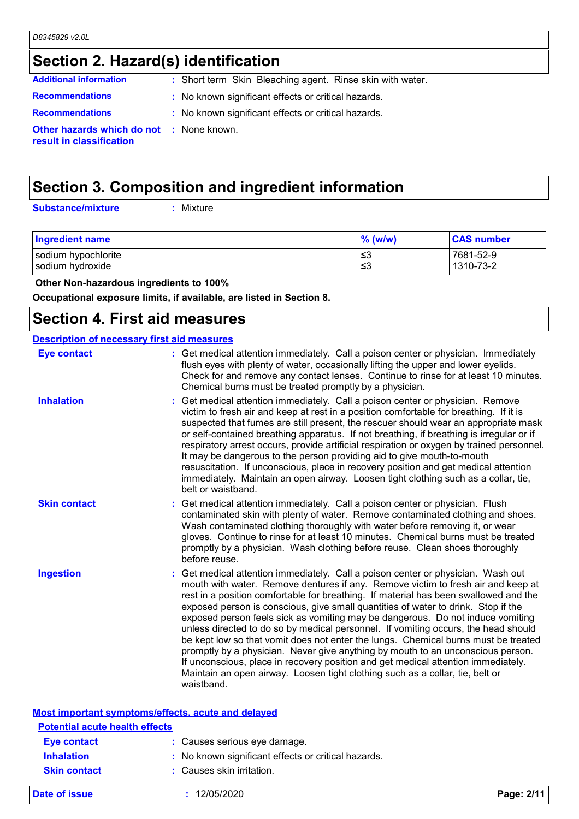## **Section 2. Hazard(s) identification**

| <b>Additional information</b>                                        | : Short term Skin Bleaching agent. Rinse skin with water. |
|----------------------------------------------------------------------|-----------------------------------------------------------|
| <b>Recommendations</b>                                               | : No known significant effects or critical hazards.       |
| <b>Recommendations</b>                                               | : No known significant effects or critical hazards.       |
| Other hazards which do not : None known.<br>result in classification |                                                           |

### **Section 3. Composition and ingredient information**

**Substance/mixture :**

: Mixture

| <b>Ingredient name</b> | % (w/w) | <b>CAS number</b> |
|------------------------|---------|-------------------|
| sodium hypochlorite    | ו≥ ≥    | 7681-52-9         |
| sodium hydroxide       | 3≥      | 1310-73-2         |

 **Other Non-hazardous ingredients to 100%**

**Occupational exposure limits, if available, are listed in Section 8.**

### **Section 4. First aid measures**

| <b>Description of necessary first aid measures</b> |                                                                                                                                                                                                                                                                                                                                                                                                                                                                                                                                                                                                                                                                                                                                                                                                                                                                                      |
|----------------------------------------------------|--------------------------------------------------------------------------------------------------------------------------------------------------------------------------------------------------------------------------------------------------------------------------------------------------------------------------------------------------------------------------------------------------------------------------------------------------------------------------------------------------------------------------------------------------------------------------------------------------------------------------------------------------------------------------------------------------------------------------------------------------------------------------------------------------------------------------------------------------------------------------------------|
| <b>Eye contact</b>                                 | : Get medical attention immediately. Call a poison center or physician. Immediately<br>flush eyes with plenty of water, occasionally lifting the upper and lower eyelids.<br>Check for and remove any contact lenses. Continue to rinse for at least 10 minutes.<br>Chemical burns must be treated promptly by a physician.                                                                                                                                                                                                                                                                                                                                                                                                                                                                                                                                                          |
| <b>Inhalation</b>                                  | Get medical attention immediately. Call a poison center or physician. Remove<br>victim to fresh air and keep at rest in a position comfortable for breathing. If it is<br>suspected that fumes are still present, the rescuer should wear an appropriate mask<br>or self-contained breathing apparatus. If not breathing, if breathing is irregular or if<br>respiratory arrest occurs, provide artificial respiration or oxygen by trained personnel.<br>It may be dangerous to the person providing aid to give mouth-to-mouth<br>resuscitation. If unconscious, place in recovery position and get medical attention<br>immediately. Maintain an open airway. Loosen tight clothing such as a collar, tie,<br>belt or waistband.                                                                                                                                                  |
| <b>Skin contact</b>                                | Get medical attention immediately. Call a poison center or physician. Flush<br>contaminated skin with plenty of water. Remove contaminated clothing and shoes.<br>Wash contaminated clothing thoroughly with water before removing it, or wear<br>gloves. Continue to rinse for at least 10 minutes. Chemical burns must be treated<br>promptly by a physician. Wash clothing before reuse. Clean shoes thoroughly<br>before reuse.                                                                                                                                                                                                                                                                                                                                                                                                                                                  |
| <b>Ingestion</b>                                   | Get medical attention immediately. Call a poison center or physician. Wash out<br>mouth with water. Remove dentures if any. Remove victim to fresh air and keep at<br>rest in a position comfortable for breathing. If material has been swallowed and the<br>exposed person is conscious, give small quantities of water to drink. Stop if the<br>exposed person feels sick as vomiting may be dangerous. Do not induce vomiting<br>unless directed to do so by medical personnel. If vomiting occurs, the head should<br>be kept low so that vomit does not enter the lungs. Chemical burns must be treated<br>promptly by a physician. Never give anything by mouth to an unconscious person.<br>If unconscious, place in recovery position and get medical attention immediately.<br>Maintain an open airway. Loosen tight clothing such as a collar, tie, belt or<br>waistband. |
|                                                    | Most important symptoms/effects, acute and delayed                                                                                                                                                                                                                                                                                                                                                                                                                                                                                                                                                                                                                                                                                                                                                                                                                                   |
| <b>Potential acute health effects</b>              |                                                                                                                                                                                                                                                                                                                                                                                                                                                                                                                                                                                                                                                                                                                                                                                                                                                                                      |
| <b>Eve contact</b>                                 | : Causes serious eye damage.                                                                                                                                                                                                                                                                                                                                                                                                                                                                                                                                                                                                                                                                                                                                                                                                                                                         |

| <b>Skin contact</b> | Causes skin irritation. |            |
|---------------------|-------------------------|------------|
| Date of issue       | 12/05/2020              | Page: 2/11 |

**Inhalation :** No known significant effects or critical hazards.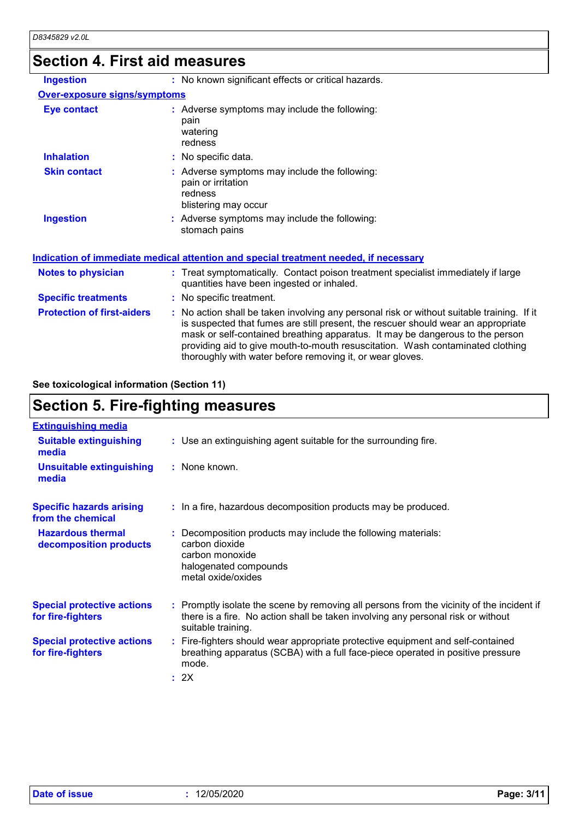## **Section 4. First aid measures**

| <b>Ingestion</b>                    | : No known significant effects or critical hazards.                                                                                                                                                                                                                                                                                                                                                             |
|-------------------------------------|-----------------------------------------------------------------------------------------------------------------------------------------------------------------------------------------------------------------------------------------------------------------------------------------------------------------------------------------------------------------------------------------------------------------|
| <b>Over-exposure signs/symptoms</b> |                                                                                                                                                                                                                                                                                                                                                                                                                 |
| <b>Eye contact</b>                  | : Adverse symptoms may include the following:<br>pain<br>watering<br>redness                                                                                                                                                                                                                                                                                                                                    |
| <b>Inhalation</b>                   | : No specific data.                                                                                                                                                                                                                                                                                                                                                                                             |
| <b>Skin contact</b>                 | : Adverse symptoms may include the following:<br>pain or irritation<br>redness<br>blistering may occur                                                                                                                                                                                                                                                                                                          |
| <b>Ingestion</b>                    | : Adverse symptoms may include the following:<br>stomach pains                                                                                                                                                                                                                                                                                                                                                  |
|                                     | Indication of immediate medical attention and special treatment needed, if necessary                                                                                                                                                                                                                                                                                                                            |
| <b>Notes to physician</b>           | : Treat symptomatically. Contact poison treatment specialist immediately if large<br>quantities have been ingested or inhaled.                                                                                                                                                                                                                                                                                  |
| <b>Specific treatments</b>          | : No specific treatment.                                                                                                                                                                                                                                                                                                                                                                                        |
| <b>Protection of first-aiders</b>   | : No action shall be taken involving any personal risk or without suitable training. If it<br>is suspected that fumes are still present, the rescuer should wear an appropriate<br>mask or self-contained breathing apparatus. It may be dangerous to the person<br>providing aid to give mouth-to-mouth resuscitation. Wash contaminated clothing<br>thoroughly with water before removing it, or wear gloves. |

### **See toxicological information (Section 11)**

| <b>Extinguishing media</b>                             |                                                                                                                                                                                                     |
|--------------------------------------------------------|-----------------------------------------------------------------------------------------------------------------------------------------------------------------------------------------------------|
| <b>Suitable extinguishing</b><br>media                 | : Use an extinguishing agent suitable for the surrounding fire.                                                                                                                                     |
| <b>Unsuitable extinguishing</b><br>media               | : None known.                                                                                                                                                                                       |
| <b>Specific hazards arising</b><br>from the chemical   | : In a fire, hazardous decomposition products may be produced.                                                                                                                                      |
| <b>Hazardous thermal</b><br>decomposition products     | : Decomposition products may include the following materials:<br>carbon dioxide<br>carbon monoxide<br>halogenated compounds<br>metal oxide/oxides                                                   |
| <b>Special protective actions</b><br>for fire-fighters | : Promptly isolate the scene by removing all persons from the vicinity of the incident if<br>there is a fire. No action shall be taken involving any personal risk or without<br>suitable training. |
| <b>Special protective actions</b><br>for fire-fighters | : Fire-fighters should wear appropriate protective equipment and self-contained<br>breathing apparatus (SCBA) with a full face-piece operated in positive pressure<br>mode.                         |
|                                                        | : 2X                                                                                                                                                                                                |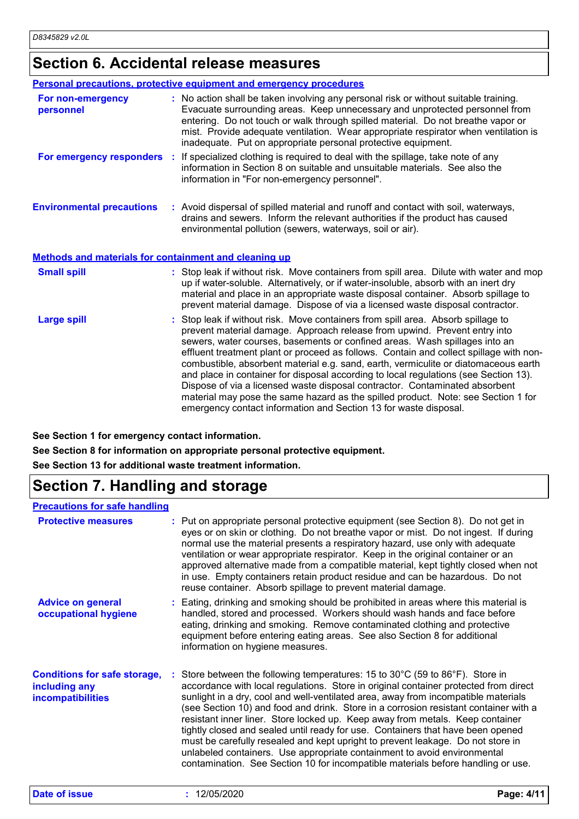### **Section 6. Accidental release measures**

|                                                              | Personal precautions, protective equipment and emergency procedures                                                                                                                                                                                                                                                                                                                                                                                                                                                                                                                                                                                                                                                                                          |
|--------------------------------------------------------------|--------------------------------------------------------------------------------------------------------------------------------------------------------------------------------------------------------------------------------------------------------------------------------------------------------------------------------------------------------------------------------------------------------------------------------------------------------------------------------------------------------------------------------------------------------------------------------------------------------------------------------------------------------------------------------------------------------------------------------------------------------------|
| For non-emergency<br>personnel                               | : No action shall be taken involving any personal risk or without suitable training.<br>Evacuate surrounding areas. Keep unnecessary and unprotected personnel from<br>entering. Do not touch or walk through spilled material. Do not breathe vapor or<br>mist. Provide adequate ventilation. Wear appropriate respirator when ventilation is<br>inadequate. Put on appropriate personal protective equipment.                                                                                                                                                                                                                                                                                                                                              |
|                                                              | For emergency responders : If specialized clothing is required to deal with the spillage, take note of any<br>information in Section 8 on suitable and unsuitable materials. See also the<br>information in "For non-emergency personnel".                                                                                                                                                                                                                                                                                                                                                                                                                                                                                                                   |
| <b>Environmental precautions</b>                             | : Avoid dispersal of spilled material and runoff and contact with soil, waterways,<br>drains and sewers. Inform the relevant authorities if the product has caused<br>environmental pollution (sewers, waterways, soil or air).                                                                                                                                                                                                                                                                                                                                                                                                                                                                                                                              |
| <b>Methods and materials for containment and cleaning up</b> |                                                                                                                                                                                                                                                                                                                                                                                                                                                                                                                                                                                                                                                                                                                                                              |
| <b>Small spill</b>                                           | : Stop leak if without risk. Move containers from spill area. Dilute with water and mop<br>up if water-soluble. Alternatively, or if water-insoluble, absorb with an inert dry<br>material and place in an appropriate waste disposal container. Absorb spillage to<br>prevent material damage. Dispose of via a licensed waste disposal contractor.                                                                                                                                                                                                                                                                                                                                                                                                         |
| <b>Large spill</b>                                           | : Stop leak if without risk. Move containers from spill area. Absorb spillage to<br>prevent material damage. Approach release from upwind. Prevent entry into<br>sewers, water courses, basements or confined areas. Wash spillages into an<br>effluent treatment plant or proceed as follows. Contain and collect spillage with non-<br>combustible, absorbent material e.g. sand, earth, vermiculite or diatomaceous earth<br>and place in container for disposal according to local regulations (see Section 13).<br>Dispose of via a licensed waste disposal contractor. Contaminated absorbent<br>material may pose the same hazard as the spilled product. Note: see Section 1 for<br>emergency contact information and Section 13 for waste disposal. |

**See Section 1 for emergency contact information.**

**See Section 8 for information on appropriate personal protective equipment.**

**See Section 13 for additional waste treatment information.**

## **Section 7. Handling and storage**

### **Precautions for safe handling**

| <b>Protective measures</b>                                                       | : Put on appropriate personal protective equipment (see Section 8). Do not get in<br>eyes or on skin or clothing. Do not breathe vapor or mist. Do not ingest. If during<br>normal use the material presents a respiratory hazard, use only with adequate<br>ventilation or wear appropriate respirator. Keep in the original container or an<br>approved alternative made from a compatible material, kept tightly closed when not<br>in use. Empty containers retain product residue and can be hazardous. Do not<br>reuse container. Absorb spillage to prevent material damage.                                                                                                                                                                                                              |
|----------------------------------------------------------------------------------|--------------------------------------------------------------------------------------------------------------------------------------------------------------------------------------------------------------------------------------------------------------------------------------------------------------------------------------------------------------------------------------------------------------------------------------------------------------------------------------------------------------------------------------------------------------------------------------------------------------------------------------------------------------------------------------------------------------------------------------------------------------------------------------------------|
| <b>Advice on general</b><br>occupational hygiene                                 | : Eating, drinking and smoking should be prohibited in areas where this material is<br>handled, stored and processed. Workers should wash hands and face before<br>eating, drinking and smoking. Remove contaminated clothing and protective<br>equipment before entering eating areas. See also Section 8 for additional<br>information on hygiene measures.                                                                                                                                                                                                                                                                                                                                                                                                                                    |
| <b>Conditions for safe storage,</b><br>including any<br><b>incompatibilities</b> | : Store between the following temperatures: 15 to 30 $^{\circ}$ C (59 to 86 $^{\circ}$ F). Store in<br>accordance with local regulations. Store in original container protected from direct<br>sunlight in a dry, cool and well-ventilated area, away from incompatible materials<br>(see Section 10) and food and drink. Store in a corrosion resistant container with a<br>resistant inner liner. Store locked up. Keep away from metals. Keep container<br>tightly closed and sealed until ready for use. Containers that have been opened<br>must be carefully resealed and kept upright to prevent leakage. Do not store in<br>unlabeled containers. Use appropriate containment to avoid environmental<br>contamination. See Section 10 for incompatible materials before handling or use. |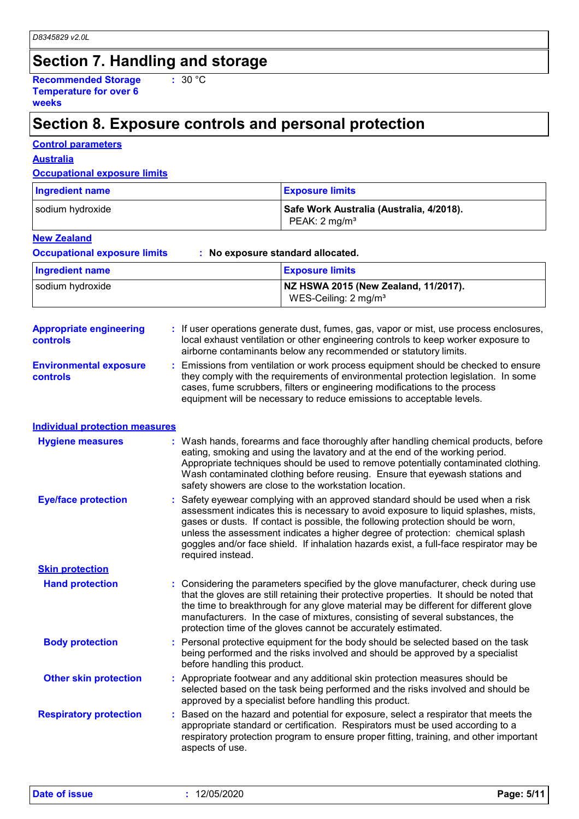### **Section 7. Handling and storage**

**Recommended Storage Temperature for over 6 weeks :** 30 °C

### **Section 8. Exposure controls and personal protection**

**Australia**

#### **Occupational exposure limits**

| <b>Ingredient name</b> | <b>Exposure limits</b>                                                |
|------------------------|-----------------------------------------------------------------------|
| sodium hydroxide       | Safe Work Australia (Australia, 4/2018).<br>PEAK: 2 mg/m <sup>3</sup> |

### **New Zealand**

**Occupational exposure limits : No exposure standard allocated.**

| <b>Ingredient name</b> | <b>Exposure limits</b>                                                  |
|------------------------|-------------------------------------------------------------------------|
| sodium hydroxide       | NZ HSWA 2015 (New Zealand, 11/2017).<br>WES-Ceiling: $2 \text{ mg/m}^3$ |

| <b>Appropriate engineering</b><br><b>controls</b> | : If user operations generate dust, fumes, gas, vapor or mist, use process enclosures,<br>local exhaust ventilation or other engineering controls to keep worker exposure to<br>airborne contaminants below any recommended or statutory limits.                                                                                                                                                                                                            |
|---------------------------------------------------|-------------------------------------------------------------------------------------------------------------------------------------------------------------------------------------------------------------------------------------------------------------------------------------------------------------------------------------------------------------------------------------------------------------------------------------------------------------|
| <b>Environmental exposure</b><br><b>controls</b>  | : Emissions from ventilation or work process equipment should be checked to ensure<br>they comply with the requirements of environmental protection legislation. In some<br>cases, fume scrubbers, filters or engineering modifications to the process<br>equipment will be necessary to reduce emissions to acceptable levels.                                                                                                                             |
| <b>Individual protection measures</b>             |                                                                                                                                                                                                                                                                                                                                                                                                                                                             |
| <b>Hygiene measures</b>                           | : Wash hands, forearms and face thoroughly after handling chemical products, before<br>eating, smoking and using the lavatory and at the end of the working period.<br>Appropriate techniques should be used to remove potentially contaminated clothing.<br>Wash contaminated clothing before reusing. Ensure that eyewash stations and<br>safety showers are close to the workstation location.                                                           |
| <b>Eye/face protection</b>                        | : Safety eyewear complying with an approved standard should be used when a risk<br>assessment indicates this is necessary to avoid exposure to liquid splashes, mists,<br>gases or dusts. If contact is possible, the following protection should be worn,<br>unless the assessment indicates a higher degree of protection: chemical splash<br>goggles and/or face shield. If inhalation hazards exist, a full-face respirator may be<br>required instead. |
| <b>Skin protection</b>                            |                                                                                                                                                                                                                                                                                                                                                                                                                                                             |
| <b>Hand protection</b>                            | : Considering the parameters specified by the glove manufacturer, check during use<br>that the gloves are still retaining their protective properties. It should be noted that<br>the time to breakthrough for any glove material may be different for different glove<br>manufacturers. In the case of mixtures, consisting of several substances, the<br>protection time of the gloves cannot be accurately estimated.                                    |
| <b>Body protection</b>                            | : Personal protective equipment for the body should be selected based on the task<br>being performed and the risks involved and should be approved by a specialist<br>before handling this product.                                                                                                                                                                                                                                                         |
| <b>Other skin protection</b>                      | : Appropriate footwear and any additional skin protection measures should be<br>selected based on the task being performed and the risks involved and should be<br>approved by a specialist before handling this product.                                                                                                                                                                                                                                   |
| <b>Respiratory protection</b>                     | : Based on the hazard and potential for exposure, select a respirator that meets the<br>appropriate standard or certification. Respirators must be used according to a<br>respiratory protection program to ensure proper fitting, training, and other important<br>aspects of use.                                                                                                                                                                         |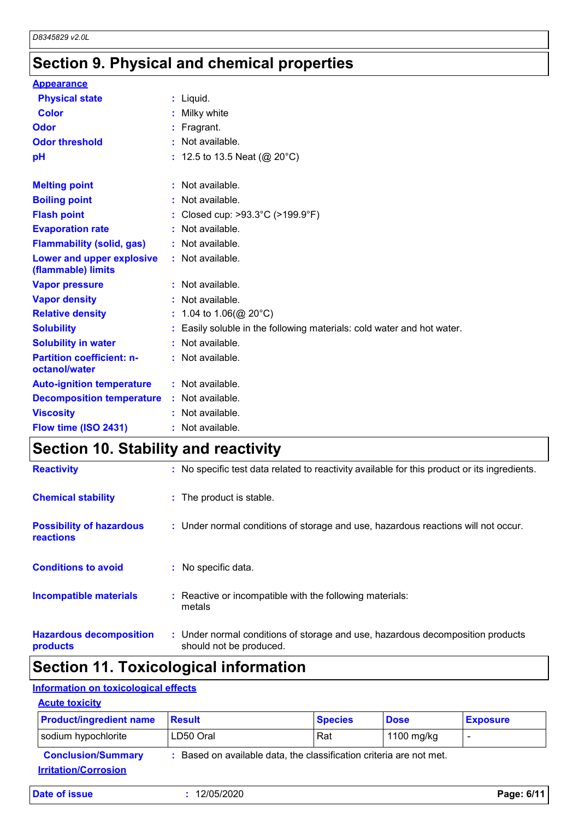## **Section 9. Physical and chemical properties**

| <b>Appearance</b>                                 |                                                                      |
|---------------------------------------------------|----------------------------------------------------------------------|
| <b>Physical state</b>                             | $:$ Liquid.                                                          |
| <b>Color</b>                                      | Milky white                                                          |
| <b>Odor</b>                                       | Fragrant.                                                            |
| <b>Odor threshold</b>                             | Not available.                                                       |
| рH                                                | : 12.5 to 13.5 Neat (@ 20°C)                                         |
|                                                   |                                                                      |
| <b>Melting point</b>                              | : Not available.                                                     |
| <b>Boiling point</b>                              | Not available.                                                       |
| <b>Flash point</b>                                | Closed cup: >93.3°C (>199.9°F)                                       |
| <b>Evaporation rate</b>                           | : Not available.                                                     |
| <b>Flammability (solid, gas)</b>                  | : Not available.                                                     |
| Lower and upper explosive<br>(flammable) limits   | : Not available.                                                     |
| <b>Vapor pressure</b>                             | : Not available.                                                     |
| <b>Vapor density</b>                              | Not available.                                                       |
| <b>Relative density</b>                           | 1.04 to 1.06( $@$ 20 $^{\circ}$ C)                                   |
| <b>Solubility</b>                                 | Easily soluble in the following materials: cold water and hot water. |
| <b>Solubility in water</b>                        | Not available.                                                       |
| <b>Partition coefficient: n-</b><br>octanol/water | : Not available.                                                     |
| <b>Auto-ignition temperature</b>                  | : Not available.                                                     |
| <b>Decomposition temperature</b>                  | : Not available.                                                     |
| <b>Viscosity</b>                                  | Not available.                                                       |
| Flow time (ISO 2431)                              | : Not available.                                                     |

## **Section 10. Stability and reactivity**

| <b>Reactivity</b>                                   | : No specific test data related to reactivity available for this product or its ingredients.              |
|-----------------------------------------------------|-----------------------------------------------------------------------------------------------------------|
| <b>Chemical stability</b>                           | : The product is stable.                                                                                  |
| <b>Possibility of hazardous</b><br><b>reactions</b> | : Under normal conditions of storage and use, hazardous reactions will not occur.                         |
| <b>Conditions to avoid</b>                          | : No specific data.                                                                                       |
| <b>Incompatible materials</b>                       | : Reactive or incompatible with the following materials:<br>metals                                        |
| <b>Hazardous decomposition</b><br>products          | : Under normal conditions of storage and use, hazardous decomposition products<br>should not be produced. |

## **Section 11. Toxicological information**

### **Information on toxicological effects**

| <b>Acute toxicity</b>                                    |                                                                     |                |             |                 |  |
|----------------------------------------------------------|---------------------------------------------------------------------|----------------|-------------|-----------------|--|
| <b>Product/ingredient name</b>                           | <b>Result</b>                                                       | <b>Species</b> | <b>Dose</b> | <b>Exposure</b> |  |
| sodium hypochlorite                                      | LD50 Oral                                                           | Rat            | 1100 mg/kg  |                 |  |
| <b>Conclusion/Summary</b><br><b>Irritation/Corrosion</b> | : Based on available data, the classification criteria are not met. |                |             |                 |  |

**Date of issue :** 12/05/2020 **Page: 6/11**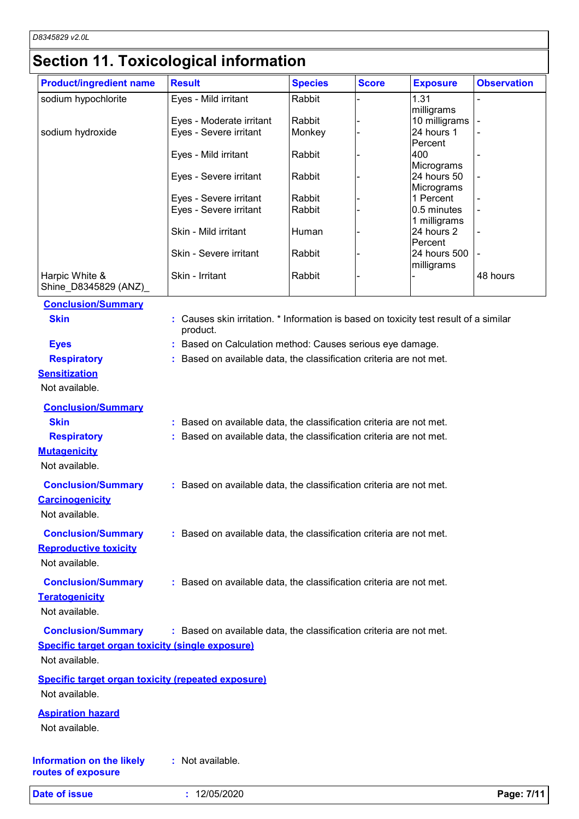## **Section 11. Toxicological information**

| <b>Product/ingredient name</b>                            | <b>Result</b>                                                                                   | <b>Species</b> | <b>Score</b> | <b>Exposure</b>             | <b>Observation</b> |
|-----------------------------------------------------------|-------------------------------------------------------------------------------------------------|----------------|--------------|-----------------------------|--------------------|
| sodium hypochlorite                                       | Eyes - Mild irritant                                                                            | Rabbit         |              | 1.31                        |                    |
|                                                           | Eyes - Moderate irritant                                                                        | Rabbit         |              | milligrams<br>10 milligrams |                    |
| sodium hydroxide                                          | Eyes - Severe irritant                                                                          | Monkey         |              | 24 hours 1                  |                    |
|                                                           |                                                                                                 |                |              | Percent                     |                    |
|                                                           | Eyes - Mild irritant                                                                            | Rabbit         |              | 400                         |                    |
|                                                           |                                                                                                 |                |              | Micrograms                  |                    |
|                                                           | Eyes - Severe irritant                                                                          | Rabbit         |              | 24 hours 50                 |                    |
|                                                           | Eyes - Severe irritant                                                                          | Rabbit         |              | Micrograms<br>1 Percent     |                    |
|                                                           | Eyes - Severe irritant                                                                          | Rabbit         |              | 0.5 minutes                 |                    |
|                                                           |                                                                                                 |                |              | 1 milligrams                |                    |
|                                                           | Skin - Mild irritant                                                                            | Human          |              | 24 hours 2                  |                    |
|                                                           |                                                                                                 |                |              | Percent                     |                    |
|                                                           | Skin - Severe irritant                                                                          | Rabbit         |              | 24 hours 500<br>milligrams  |                    |
| Harpic White &                                            | Skin - Irritant                                                                                 | Rabbit         |              |                             | 48 hours           |
| Shine_D8345829 (ANZ)_                                     |                                                                                                 |                |              |                             |                    |
|                                                           |                                                                                                 |                |              |                             |                    |
| <b>Conclusion/Summary</b>                                 |                                                                                                 |                |              |                             |                    |
| <b>Skin</b>                                               | Causes skin irritation. * Information is based on toxicity test result of a similar<br>product. |                |              |                             |                    |
| <b>Eyes</b>                                               | : Based on Calculation method: Causes serious eye damage.                                       |                |              |                             |                    |
|                                                           |                                                                                                 |                |              |                             |                    |
| <b>Respiratory</b>                                        | : Based on available data, the classification criteria are not met.                             |                |              |                             |                    |
| <b>Sensitization</b>                                      |                                                                                                 |                |              |                             |                    |
| Not available.                                            |                                                                                                 |                |              |                             |                    |
| <b>Conclusion/Summary</b>                                 |                                                                                                 |                |              |                             |                    |
| <b>Skin</b>                                               | Based on available data, the classification criteria are not met.                               |                |              |                             |                    |
| <b>Respiratory</b>                                        | Based on available data, the classification criteria are not met.                               |                |              |                             |                    |
| <b>Mutagenicity</b>                                       |                                                                                                 |                |              |                             |                    |
|                                                           |                                                                                                 |                |              |                             |                    |
| Not available.                                            |                                                                                                 |                |              |                             |                    |
| <b>Conclusion/Summary</b>                                 | : Based on available data, the classification criteria are not met.                             |                |              |                             |                    |
| <b>Carcinogenicity</b>                                    |                                                                                                 |                |              |                             |                    |
| Not available.                                            |                                                                                                 |                |              |                             |                    |
|                                                           |                                                                                                 |                |              |                             |                    |
| <b>Conclusion/Summary</b>                                 | : Based on available data, the classification criteria are not met.                             |                |              |                             |                    |
| <b>Reproductive toxicity</b>                              |                                                                                                 |                |              |                             |                    |
| Not available.                                            |                                                                                                 |                |              |                             |                    |
| <b>Conclusion/Summary</b>                                 | : Based on available data, the classification criteria are not met.                             |                |              |                             |                    |
| <b>Teratogenicity</b>                                     |                                                                                                 |                |              |                             |                    |
| Not available.                                            |                                                                                                 |                |              |                             |                    |
|                                                           |                                                                                                 |                |              |                             |                    |
| <b>Conclusion/Summary</b>                                 | : Based on available data, the classification criteria are not met.                             |                |              |                             |                    |
| Specific target organ toxicity (single exposure)          |                                                                                                 |                |              |                             |                    |
| Not available.                                            |                                                                                                 |                |              |                             |                    |
|                                                           |                                                                                                 |                |              |                             |                    |
| <b>Specific target organ toxicity (repeated exposure)</b> |                                                                                                 |                |              |                             |                    |
| Not available.                                            |                                                                                                 |                |              |                             |                    |
| <b>Aspiration hazard</b>                                  |                                                                                                 |                |              |                             |                    |
| Not available.                                            |                                                                                                 |                |              |                             |                    |
|                                                           |                                                                                                 |                |              |                             |                    |
|                                                           |                                                                                                 |                |              |                             |                    |
| <b>Information on the likely</b>                          | : Not available.                                                                                |                |              |                             |                    |
| routes of exposure                                        |                                                                                                 |                |              |                             |                    |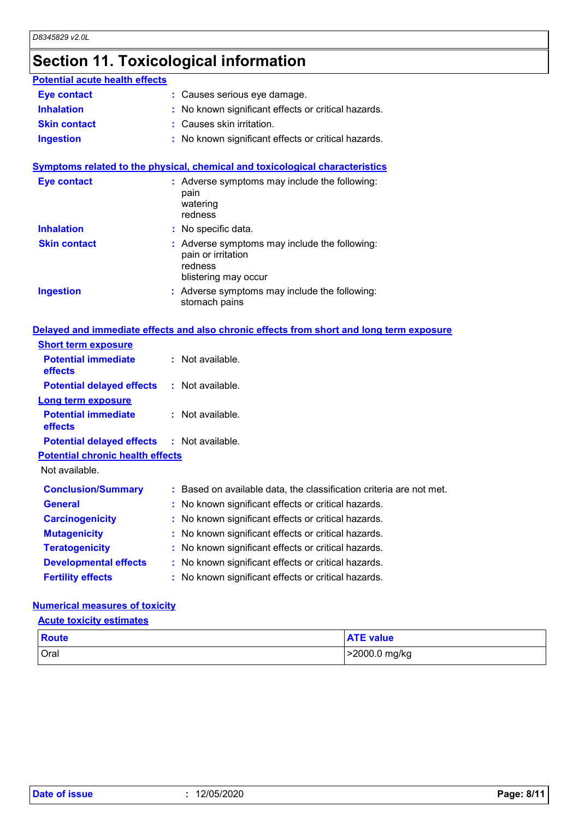### **Section 11. Toxicological information**

|                                         | occuon in roxicological information                                                                    |
|-----------------------------------------|--------------------------------------------------------------------------------------------------------|
| <b>Potential acute health effects</b>   |                                                                                                        |
| <b>Eye contact</b>                      | : Causes serious eye damage.                                                                           |
| <b>Inhalation</b>                       | : No known significant effects or critical hazards.                                                    |
| <b>Skin contact</b>                     | : Causes skin irritation.                                                                              |
| <b>Ingestion</b>                        | : No known significant effects or critical hazards.                                                    |
|                                         | Symptoms related to the physical, chemical and toxicological characteristics                           |
| <b>Eye contact</b>                      | : Adverse symptoms may include the following:<br>pain<br>watering<br>redness                           |
| <b>Inhalation</b>                       | : No specific data.                                                                                    |
| <b>Skin contact</b>                     | : Adverse symptoms may include the following:<br>pain or irritation<br>redness<br>blistering may occur |
| <b>Ingestion</b>                        | : Adverse symptoms may include the following:<br>stomach pains                                         |
|                                         | Delayed and immediate effects and also chronic effects from short and long term exposure               |
| <b>Short term exposure</b>              |                                                                                                        |
| <b>Potential immediate</b><br>effects   | : Not available.                                                                                       |
| <b>Potential delayed effects</b>        | : Not available.                                                                                       |
| <b>Long term exposure</b>               |                                                                                                        |
| <b>Potential immediate</b><br>effects   | $:$ Not available.                                                                                     |
| <b>Potential delayed effects</b>        | : Not available.                                                                                       |
| <b>Potential chronic health effects</b> |                                                                                                        |
| Not available.                          |                                                                                                        |

| <b>Conclusion/Summary</b>    | : Based on available data, the classification criteria are not met. |
|------------------------------|---------------------------------------------------------------------|
| <b>General</b>               | : No known significant effects or critical hazards.                 |
| <b>Carcinogenicity</b>       | : No known significant effects or critical hazards.                 |
| <b>Mutagenicity</b>          | : No known significant effects or critical hazards.                 |
| <b>Teratogenicity</b>        | : No known significant effects or critical hazards.                 |
| <b>Developmental effects</b> | : No known significant effects or critical hazards.                 |
| <b>Fertility effects</b>     | : No known significant effects or critical hazards.                 |

### **Numerical measures of toxicity**

| <b>Acute toxicity estimates</b> |
|---------------------------------|
| $D$ auta                        |

| Route | <b>ATE value</b> |
|-------|------------------|
| Oral  | >2000.0 mg/kg    |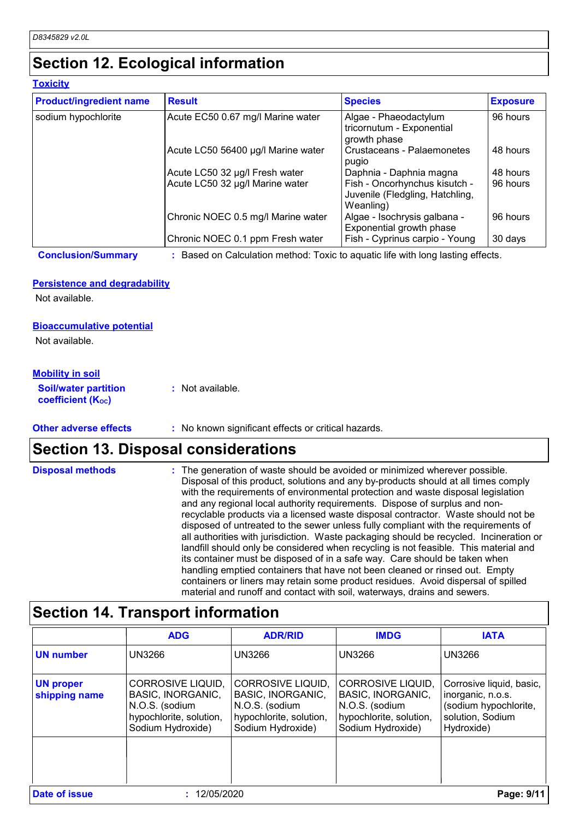## **Section 12. Ecological information**

| <b>Toxicity</b>                |                                    |                                                                               |                 |  |  |
|--------------------------------|------------------------------------|-------------------------------------------------------------------------------|-----------------|--|--|
| <b>Product/ingredient name</b> | <b>Result</b>                      | <b>Species</b>                                                                | <b>Exposure</b> |  |  |
| sodium hypochlorite            | Acute EC50 0.67 mg/l Marine water  | Algae - Phaeodactylum<br>tricornutum - Exponential<br>growth phase            | 96 hours        |  |  |
|                                | Acute LC50 56400 µg/l Marine water | Crustaceans - Palaemonetes<br>pugio                                           | 48 hours        |  |  |
|                                | Acute LC50 32 µg/l Fresh water     | Daphnia - Daphnia magna                                                       | 48 hours        |  |  |
|                                | Acute LC50 32 µg/l Marine water    | Fish - Oncorhynchus kisutch -<br>Juvenile (Fledgling, Hatchling,<br>Weanling) | 96 hours        |  |  |
|                                | Chronic NOEC 0.5 mg/l Marine water | Algae - Isochrysis galbana -<br>Exponential growth phase                      | 96 hours        |  |  |
|                                | Chronic NOEC 0.1 ppm Fresh water   | Fish - Cyprinus carpio - Young                                                | 30 days         |  |  |

**Conclusion/Summary :** Based on Calculation method: Toxic to aquatic life with long lasting effects.

### **Persistence and degradability**

Not available.

### **Bioaccumulative potential**

Not available.

### **Mobility in soil**

| <b>Soil/water partition</b> | : Not available. |
|-----------------------------|------------------|
| <b>coefficient (Koc)</b>    |                  |

#### **Other adverse effects** : No known significant effects or critical hazards.

### **Section 13. Disposal considerations**

| <b>Disposal methods</b> | : The generation of waste should be avoided or minimized wherever possible.<br>Disposal of this product, solutions and any by-products should at all times comply<br>with the requirements of environmental protection and waste disposal legislation<br>and any regional local authority requirements. Dispose of surplus and non-<br>recyclable products via a licensed waste disposal contractor. Waste should not be<br>disposed of untreated to the sewer unless fully compliant with the requirements of<br>all authorities with jurisdiction. Waste packaging should be recycled. Incineration or<br>landfill should only be considered when recycling is not feasible. This material and<br>its container must be disposed of in a safe way. Care should be taken when<br>handling emptied containers that have not been cleaned or rinsed out. Empty<br>containers or liners may retain some product residues. Avoid dispersal of spilled |
|-------------------------|----------------------------------------------------------------------------------------------------------------------------------------------------------------------------------------------------------------------------------------------------------------------------------------------------------------------------------------------------------------------------------------------------------------------------------------------------------------------------------------------------------------------------------------------------------------------------------------------------------------------------------------------------------------------------------------------------------------------------------------------------------------------------------------------------------------------------------------------------------------------------------------------------------------------------------------------------|
|                         | material and runoff and contact with soil, waterways, drains and sewers.                                                                                                                                                                                                                                                                                                                                                                                                                                                                                                                                                                                                                                                                                                                                                                                                                                                                           |

### **Section 14. Transport information**

|                                   | <b>ADR/RID</b><br><b>ADG</b>                                                                                    |                                                                                                                 | <b>IMDG</b>                                                                                                     | <b>IATA</b>                                                                                              |  |
|-----------------------------------|-----------------------------------------------------------------------------------------------------------------|-----------------------------------------------------------------------------------------------------------------|-----------------------------------------------------------------------------------------------------------------|----------------------------------------------------------------------------------------------------------|--|
| <b>UN number</b>                  | <b>UN3266</b>                                                                                                   | <b>UN3266</b><br><b>UN3266</b>                                                                                  |                                                                                                                 | <b>UN3266</b>                                                                                            |  |
| <b>UN proper</b><br>shipping name | CORROSIVE LIQUID,<br><b>BASIC, INORGANIC,</b><br>N.O.S. (sodium<br>hypochlorite, solution,<br>Sodium Hydroxide) | CORROSIVE LIQUID,<br><b>BASIC, INORGANIC,</b><br>N.O.S. (sodium<br>hypochlorite, solution,<br>Sodium Hydroxide) | CORROSIVE LIQUID,<br><b>BASIC, INORGANIC,</b><br>N.O.S. (sodium<br>hypochlorite, solution,<br>Sodium Hydroxide) | Corrosive liquid, basic,<br>inorganic, n.o.s.<br>(sodium hypochlorite,<br>solution, Sodium<br>Hydroxide) |  |
| Date of issue                     | 12/05/2020                                                                                                      |                                                                                                                 |                                                                                                                 | Page: 9/11                                                                                               |  |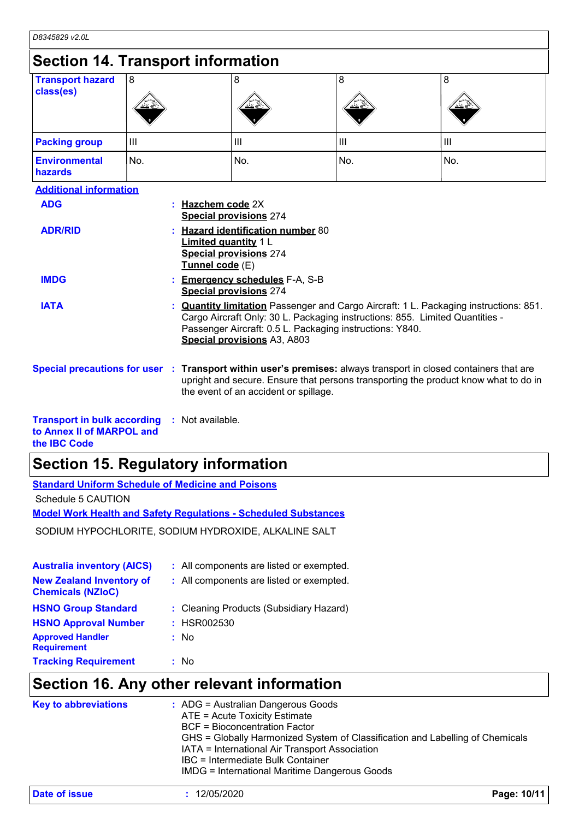| <b>Section 14. Transport information</b>                                        |                                                                      |                                                                                                                                                                                                                                                 |                                                                                                                                                                                                                                                                         |     |     |  |
|---------------------------------------------------------------------------------|----------------------------------------------------------------------|-------------------------------------------------------------------------------------------------------------------------------------------------------------------------------------------------------------------------------------------------|-------------------------------------------------------------------------------------------------------------------------------------------------------------------------------------------------------------------------------------------------------------------------|-----|-----|--|
| <b>Transport hazard</b><br>class(es)                                            | 8                                                                    |                                                                                                                                                                                                                                                 | 8                                                                                                                                                                                                                                                                       | 8   | 8   |  |
| <b>Packing group</b>                                                            | Ш                                                                    |                                                                                                                                                                                                                                                 | Ш                                                                                                                                                                                                                                                                       | Ш   | Ш   |  |
| <b>Environmental</b><br>hazards                                                 | No.                                                                  |                                                                                                                                                                                                                                                 | No.                                                                                                                                                                                                                                                                     | No. | No. |  |
| <b>Additional information</b>                                                   |                                                                      |                                                                                                                                                                                                                                                 |                                                                                                                                                                                                                                                                         |     |     |  |
| <b>ADG</b>                                                                      |                                                                      | : Hazchem code 2X<br><b>Special provisions 274</b>                                                                                                                                                                                              |                                                                                                                                                                                                                                                                         |     |     |  |
| <b>ADR/RID</b>                                                                  |                                                                      | Hazard identification number 80<br><b>Limited quantity 1 L</b><br><b>Special provisions 274</b><br>Tunnel code (E)                                                                                                                              |                                                                                                                                                                                                                                                                         |     |     |  |
| <b>IMDG</b>                                                                     | <b>Emergency schedules F-A, S-B</b><br><b>Special provisions 274</b> |                                                                                                                                                                                                                                                 |                                                                                                                                                                                                                                                                         |     |     |  |
| <b>IATA</b>                                                                     |                                                                      |                                                                                                                                                                                                                                                 | : <b>Quantity limitation</b> Passenger and Cargo Aircraft: 1 L. Packaging instructions: 851.<br>Cargo Aircraft Only: 30 L. Packaging instructions: 855. Limited Quantities -<br>Passenger Aircraft: 0.5 L. Packaging instructions: Y840.<br>Special provisions A3, A803 |     |     |  |
|                                                                                 |                                                                      | Special precautions for user : Transport within user's premises: always transport in closed containers that are<br>upright and secure. Ensure that persons transporting the product know what to do in<br>the event of an accident or spillage. |                                                                                                                                                                                                                                                                         |     |     |  |
| <b>Transport in bulk according</b><br>to Annex II of MARPOL and<br>the IBC Code |                                                                      | : Not available.                                                                                                                                                                                                                                |                                                                                                                                                                                                                                                                         |     |     |  |

## **Section 15. Regulatory information**

**Standard Uniform Schedule of Medicine and Poisons**

Schedule 5 CAUTION

**Model Work Health and Safety Regulations - Scheduled Substances**

SODIUM HYPOCHLORITE, SODIUM HYDROXIDE, ALKALINE SALT

| <b>Australia inventory (AICS)</b>                           | : All components are listed or exempted. |
|-------------------------------------------------------------|------------------------------------------|
| <b>New Zealand Inventory of</b><br><b>Chemicals (NZIoC)</b> | : All components are listed or exempted. |
| <b>HSNO Group Standard</b>                                  | : Cleaning Products (Subsidiary Hazard)  |
| <b>HSNO Approval Number</b>                                 | : HSR002530                              |
| <b>Approved Handler</b><br><b>Requirement</b>               | : No                                     |
| <b>Tracking Requirement</b>                                 | : No                                     |

## **Section 16. Any other relevant information**

| <b>Key to abbreviations</b> | $\therefore$ ADG = Australian Dangerous Goods<br>ATE = Acute Toxicity Estimate<br><b>BCF</b> = Bioconcentration Factor<br>GHS = Globally Harmonized System of Classification and Labelling of Chemicals<br>IATA = International Air Transport Association<br>IBC = Intermediate Bulk Container<br>IMDG = International Maritime Dangerous Goods |  |
|-----------------------------|-------------------------------------------------------------------------------------------------------------------------------------------------------------------------------------------------------------------------------------------------------------------------------------------------------------------------------------------------|--|
| <b>Date of issue</b>        | Page: 10/11<br>: 12/05/2020                                                                                                                                                                                                                                                                                                                     |  |